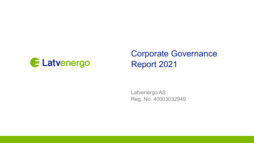

# Corporate Governance Report 2021

Latvenergo AS Reg. No. 40003032949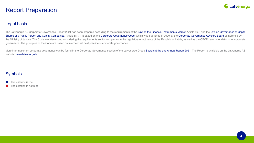## Report Preparation



#### Legal basis

The Latvenergo AS Corporate Governance Report 2021 has been prepared according to the requirements of the [Law on the Financial Instruments Market](https://likumi.lv/ta/id/81995-finansu-instrumentu-tirgus-likums), Article 56.<sup>2</sup>, and the Law on Governance of Capital [Shares of a Public Person and Capital Companies](https://likumi.lv/doc.php?id=269907), Article 58.1. It is based on the [Corporate Governance Code,](https://www.tm.gov.lv/en/media/7428/download) which was published in 2020 by the [Corporate Governance Advisory Board](https://www.tm.gov.lv/en/corporate-governance-code) established by the Ministry of Justice. The Code was developed considering the requirements set for companies in the regulatory enactments of the Republic of Latvia, as well as the OECD recommendations for corporate governance. The principles of the Code are based on international best practice in corporate governance.

More information on corporate governance can be found in the Corporate Governance section of the Latvenergo Group [Sustainability and Annual Report 2021](https://www.latvenergo.lv/report2021). The Report is available on the Latvenergo AS website: [www.latvenergo.lv](https://www.latvenergo.lv).

### Symbols

The criterion is met

The criterion is not met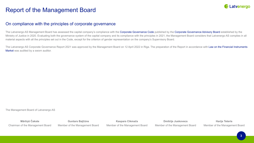## Report of the Management Board



#### On compliance with the principles of corporate governance

The Latvenergo AS Management Board has assessed the capital company's compliance with the [Corporate Governance Code](https://www.tm.gov.lv/en/media/7428/download) published by the [Corporate Governance Advisory Board](https://www.tm.gov.lv/en/corporate-governance-code) established by the Ministry of Justice in 2020. Evaluating both the governance system of the capital company and its compliance with the principles in 2021, the Management Board considers that Latvenergo AS complies in all material aspects with all the principles set out in the Code, except for the criterion of gender representation on the company's Supervisory Board.

The Latvenergo AS Corporate Governance Report 2021 was approved by the Management Board on 12 April 2022 in Riga. The preparation of the Report in accordance with Law on the Financial Instruments [Market](https://likumi.lv/ta/id/81995-finansu-instrumentu-tirgus-likums) was audited by a sworn auditor.

The Management Board of Latvenergo AS

**Mārtiņš Čakste** Guntars Baļčūns Kaspars Cikmačs Dmitrijs Juskovecs Harijs Teteris Chairman of the Management Board Member of the Management Board Member of the Management Board Member of the Management Board Member of the Management Board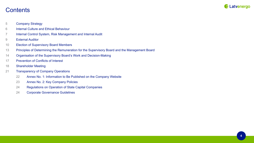

## **Contents**

- [Company Strategy](#page-4-0)
- [Internal Culture and Ethical Behaviour](#page-5-0)
- [Internal Control System, Risk Management and Internal Audit](#page-6-0)
- [External Auditor](#page-8-0)
- [Election of Supervisory Board Members](#page-9-0)
- [Principles of Determining the Remuneration for the Supervisory Board and the Management Board](#page-12-0)
- [Organisation of the Supervisory Board's Work and Decision-Making](#page-13-0)
- 17 Prevention of Conflicts of Interest
- [Shareholder Meeting](#page-17-0)
- [Transparency of Company Operations](#page-20-0)
	- [Annex No. 1: Information to Be Published on the Company Website](#page-21-0)
	- [Annex No. 2: Key Company Policies](#page-22-0)
	- [Regulations on Operation of State Capital Companies](#page-23-0)
	- [Corporate Governance Guidelines](#page-23-0)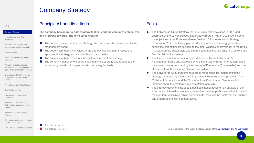## Company Strategy

#### Principle #1 and its criteria

management board.

**and progress towards long-term value creation.**

**The company has an up-to-date strategy that sets out the company's objectives** 

 $\blacksquare$  The company has an up-to-date strategy, the draft of which is developed by the

The company management board implements the strategy and reports to the

■ The supervisory board is involved in the strategy development process and

approves the strategy at the supervisory board meeting.

■ The supervisory board monitors the implementation of the strategy.

supervisory board on its implementation on a regular basis.

#### Company Strategy

<span id="page-4-0"></span>岙

Internal Culture and Ethical Behaviour

Internal Control System, Risk Management and Internal Audit

[External Auditor](#page-8-1)

Election of Supervisory Board Members

Principles of Determining the Remuneration for the Supervisory Board and the Management Board

Organisation of the Supervisory Board's Work and Decision-Making

Prevention of Conflicts of Interest

Shareholder Meeting

Transparency of Company **Operations** 

Annex No. 1: Information to Be Published on the Company **Website** 

Annex No. 2: Key Company Policies

Regulations on Operation of State Capital Companies

Corporate Governance Guidelines

The criterion is met

#### Facts

- The Latvenergo Group Strategy for 2022–2026 was developed in 2021 and approved by the Latvenergo AS Supervisory Board in March 2022. Considering the objectives of the European Green Deal and Climate Neutrality Strategy of Latvia for 2050, the Group plans to develop renewable energy generation capacities, strengthen its position as the most valuable energy trader in the Baltic market, promote sustainable and smart electromobility, and ensure a resilient and flexible distribution system.
- The Group's medium-term strategy is developed by the Latvenergo AS Management Board and approved by the Supervisory Board. Prior to approval of the strategy, an assessment by the Ministry of Economics (Shareholder) and the Cross-Sectoral Coordination Centre is considered.
- The Latvenergo AS Management Board is responsible for implementing the strategy and regularly informs the Supervisory Board regarding progress. The Ministry of Economics and the Cross-Sectoral Coordination Centre are both informed about the strategy's implementation annually.
- The strategy document includes a business model based on an analysis of the external and internal environment, as well as the Group's business directions and medium-term objectives, which determine the results to be achieved, risk analysis, and organisational development tasks.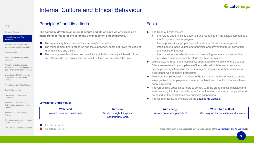## <span id="page-5-0"></span>葡

Company Strategy

#### Internal Culture and Ethical **Behaviour**

Internal Control System, Risk Management and Internal Audit

[External Auditor](#page-8-1)

Election of Supervisory Board Members

Principles of Determining the Remuneration for the Supervisory Board and the Management Board

Organisation of the Supervisory Board's Work and Decision-Making

Prevention of Conflicts of Interest

Shareholder Meeting

Transparency of Company **Operations** 

Annex No. 1: Information to Be Published on the Company **Website** 

Annex No. 2: Key Company Policies

Regulations on Operation of State Capital Companies

Corporate Governance Guidelines

The criterion is met

**Latvenergo Group values**

Principle #2 and its criteria

internal culture and ethics.

The criterion is not met More information in the Corporate Governance section of the [Sustainability and Annual Report](https://www.latvenergo.lv/report2021)

The Code of Ethics states:<br> **•** the values and princip

Facts

**With heart With mind With energy With future outlook**

- the values and principles observed and respected by the capital companies of the Group and their employees;
- the responsibilities, proper conduct, and prohibitions for employees in implementing these values and principles and preventing fraud, corruption, and conflict of interest;
- the procedures for whistleblowing and reporting violations, as well as the possible consequences if the Code of Ethics is violated.
- Whistleblowing reports and complaints about possible violations of the Code of Ethics are reviewed by compliance officers, who administer and examine such cases, preparing information for the management to make further decisions in accordance with company procedures.
- To ensure compliance with the Code of Ethics, training and informative activities are organised for employees and annual declarations of conflict of interest have been introduced.
- The Group also urges its partners to comply with the same ethical principles and, when entering into the contracts, asks for confirmation that mutual cooperation will be based on the principles of fair business cooperation.

We are brave and persistent We do good for the clients and society

• The Code of Ethics is available on the [Latvenergo website](https://latvenergo.lv/en/par-mums/koncerna-etikas-pamatprincipi).

Internal Culture and Ethical Behaviour

**The company develops an internal culture and ethics code which serves as a** 

The management board prepares and the supervisory board approves the code of

The management board ensures compliance with the company's internal culture and ethics code on a daily basis and reacts if there is a breach of the code.

We are open and passionate We do the right things and

continuously learn

**standard of conduct for the company's management and employees.**

The supervisory board defines the company's core values.

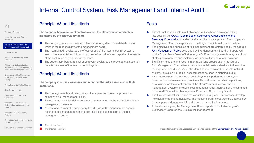#### **E** Latvenergo Internal Control System, Risk Management and Internal Audit I

### Principle #3 and its criteria

**The company has an internal control system, the effectiveness of which is monitored by the supervisory board.**

- The company has a documented internal control system, the establishment of which is the responsibility of the management board.
- The internal audit evaluates the effectiveness of the internal control system at least once a year, taking into account pre-defined criteria and reporting the results of the evaluation to the supervisory board.
- The supervisory board, at least once a year, evaluates the provided evaluation of the effectiveness of the internal control system.

#### Principle #4 and its criteria

**The company identifies, assesses and monitors the risks associated with its operations.**

- The management board develops and the supervisory board approves the company's risk management policy.
- Based on the identified risk assessment, the management board implements risk management measures.
- At least once a year, the supervisory board reviews the management board's reports on risk management measures and the implementation of the risk management policy.

- 
- 
- 

- 
- The criterion is met The criterion is not met More information in the Corporate Governance section of the [Sustainability and Annual Report](https://www.latvenergo.lv/report2021)

<span id="page-6-0"></span>岙

Internal Culture and Ethical Behaviour

Company Strategy

Internal Control System, Risk Management and Internal Audit

[External Auditor](#page-8-1)

Election of Supervisory Board Members

Principles of Determining the Remuneration for the Supervisory Board and the Management Board

Organisation of the Supervisory Board's Work and Decision-Making

Prevention of Conflicts of Interest

Shareholder Meeting

Transparency of Company **Operations** 

Annex No. 1: Information to Be Published on the Company **Website** 

Annex No. 2: Key Company Policies

Regulations on Operation of State Capital Companies

Corporate Governance Guidelines

**7**

- The internal control system of Latvenergo AS has been developed taking into account the [COSO \(Committee of Sponsoring Organizations of the](https://www.coso.org/Pages/default.aspx)  [Treadway Commission\)](https://www.coso.org/Pages/default.aspx) standard and is continuously improved. The company's Management Board is responsible for setting up the internal control system.
- The objectives and principles of risk management are determined by the Group's [Risk Management Policy](https://latvenergo.lv/en/investoriem/korporativa-parvaldiba#dokumenti) developed by the Management Board and approved by the Supervisory Board of Latvenergo AS. Risk management is integrated into strategy development and implementation as well as operational activities.
- Significant risks are analysed in internal working groups and in the Group's Risk Management Committee, which is a specially established institution on the management board level. Any risks identified are conveyed to the internal audit system, thus allowing the risk assessment to be used in planning audits.
- A self-assessment of the internal control system is performed once a year. Based on the self-assessment, audit results, and results of other inspections, a conclusion on the effectiveness of the Group's internal control and risk management systems, including recommendations for improvement, is submitted to the Audit Committee, Management Board and Supervisory Board.
- The Group's capital companies review risks annually and, if necessary, develop new risk management measures. The most important measures are approved by the company's Management Board before they are implemented.
- At least once a year, the Management Board reports to the Latvenergo AS Supervisory Board on the Group's risk management.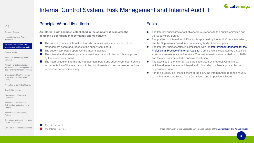## E Latvenergo

## Internal Control System, Risk Management and Internal Audit II

### 岙

Company Strategy

Internal Culture and Ethical Behaviour

Internal Control System, Risk Management and Internal Audit

[External Auditor](#page-8-1)

Election of Supervisory Board Members

Principles of Determining the Remuneration for the Supervisory Board and the Management Board

Organisation of the Supervisory Board's Work and Decision-Making

Prevention of Conflicts of Interest

Shareholder Meeting

Transparency of Company **Operations** 

Annex No. 1: Information to Be Published on the Company **Website** 

Annex No. 2: Key Company Policies

Regulations on Operation of State Capital Companies

Corporate Governance Guidelines

The criterion is met



Principle #5 and its criteria

by the supervisory board.

to address deficiencies, if any.

**company's operations independently and objectively.**

management board and reports to the supervisory board. The supervisory board approves the internal auditor.

**An internal audit has been established in the company, it evaluates the** 

 $\blacksquare$  The company has an internal auditor who is functionally independent of the

The internal auditor develops a risk-based internal audit plan, which is approved

■ The internal auditor informs the management board and supervisory board on the implementation of the internal audit plan, audit results and recommended actions

#### Facts

- The Internal Audit Director of Latvenergo AS reports to the Audit Committee and the Supervisory Board.
- The position of Internal Audit Director is approved by the Audit Committee, which, like the Supervisory Board, is a supervisory body of the company.
- The Internal Audit operates in compliance with the International Standards for the [Professional Practice of Internal Auditing](https://www.theiia.org/en/standards/what-are-the-standards/mandatory-guidance/standards/). Compliance is evaluated by a qualified external assessor once in five years. The last evaluation was carried out in 2019, and the assessor provided a positive attestation.
- The activities of the Internal Audit are supervised by the Audit Committee, which endorses the annual internal audit plan, which is then approved by the Supervisory Board.
- For its activities, incl. the fulfilment of the plan, the Internal Audit reports annually to the Management Board, Audit Committee, and Supervisory Board.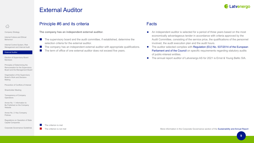## <span id="page-8-1"></span>External Auditor

#### Principle #6 and its criteria

**The company has an independent external auditor.**

■ The company has an independent external auditor with appropriate qualifications.

The term of office of one external auditor does not exceed five years.

- Internal Culture and Ethical ■ The supervisory board and the audit committee, if established, determine the selection criteria for the external auditor.
- Internal Control System, Risk Management and Internal Audit

#### [External Auditor](#page-8-1)

Behaviour

<span id="page-8-0"></span>葡

Company Strategy

Election of Supervisory Board Members

Principles of Determining the Remuneration for the Supervisory Board and the Management Board

Organisation of the Supervisory Board's Work and Decision-Making

Prevention of Conflicts of Interest

Shareholder Meeting

Transparency of Company Operations

Annex No. 1: Information to Be Published on the Company Website

Annex No. 2: Key Company Policies

Regulations on Operation of State Capital Companies

Corporate Governance Guidelines

The criterion is met

#### Facts

- An independent auditor is selected for a period of three years based on the most economically advantageous tender in accordance with criteria approved by the Audit Committee, consisting of the service price, the qualifications of the personnel involved, the audit execution plan and the audit hours.
- The auditor selected complies with Regulation (EU) No. 537/2014 of the European [Parliament and of the Council](https://eur-lex.europa.eu/legal-content/LV/TXT/?uri=CELEX%3A32014R0537) on specific requirements regarding statutory audits of public-interest entities.
- The annual report auditor of Latvenergo AS for 2021 is Ernst & Young Baltic SIA.

The criterion is not met More information in the Corporate Governance section of the **Sustainability and Annual Report**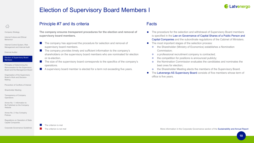

**10**

## Election of Supervisory Board Members I

**The company ensures transparent procedures for the election and removal of** 

■ The company has approved the procedure for selection and removal of

■ The company provides timely and sufficient information to the company's

■ A supervisory board member is elected for a term not exceeding five years.

shareholders on the supervisory board members who are nominated for election

The size of the supervisory board corresponds to the specifics of the company's

### <span id="page-9-0"></span>葡

Company Strategy

Internal Culture and Ethical Behaviour

Internal Control System, Risk Management and Internal Audit

[External Auditor](#page-8-1)

#### Election of Supervisory Board **Members**

Principles of Determining the Remuneration for the Supervisory Board and the Management Board

Organisation of the Supervisory Board's Work and Decision-Making

Prevention of Conflicts of Interest

Shareholder Meeting

Transparency of Company **Operations** 

Annex No. 1: Information to Be Published on the Company **Website** 

Annex No. 2: Key Company Policies

Regulations on Operation of State Capital Companies

Corporate Governance Guidelines

The criterion is met



Principle #7 and its criteria

**supervisory board members.**

or re-election.

operations.

supervisory board members.

- The procedure for the selection and withdrawal of Supervisory Board members is specified in the [Law on Governance of Capital Shares of a Public Person and](https://likumi.lv/doc.php?id=269907)  [Capital Companies](https://likumi.lv/doc.php?id=269907) and the subordinate regulations of the Cabinet of Ministers.
- The most important stages of the selection process:<br>
o the Shareholder (Ministry of Economics) establi
	- the Shareholder (Ministry of Economics) establishes a Nomination Commission;
	- a professional recruitment company is contracted;<br>• the competition for positions is announced publicly
	- the competition for positions is announced publicly;
	- the Nomination Commission evaluates the candidates and nominates the best ones for election;
	- the Shareholder Meeting elects the members of the Supervisory Board.
- The [Latvenergo AS Supervisory Board](https://latvenergo.lv/en/investoriem/korporativa-parvaldiba#padome) consists of five members whose term of office is five years.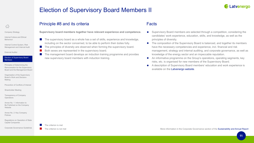## Election of Supervisory Board Members II

**Supervisory board members together have relevant experience and competence.**

 $\blacksquare$  The supervisory board as a whole has a set of skills, experience and knowledge, including on the sector concerned, to be able to perform their duties fully. ■ The principles of diversity are observed when forming the supervisory board.

The management board develops an induction training programme and provides

Both sexes are represented in the supervisory board.

new supervisory board members with induction training.



**11**

### 葡

Company Strategy

Internal Culture and Ethical Behaviour

Internal Control System, Risk Management and Internal Audit

[External Auditor](#page-8-1)

#### Election of Supervisory Board Members

Principles of Determining the Remuneration for the Supervisory Board and the Management Board

Organisation of the Supervisory Board's Work and Decision-Making

Prevention of Conflicts of Interest

Shareholder Meeting

Transparency of Company **Operations** 

Annex No. 1: Information to Be Published on the Company **Website** 

Annex No. 2: Key Company Policies

Regulations on Operation of State Capital Companies

Corporate Governance Guidelines

The criterion is met



Principle #8 and its criteria

- Supervisory Board members are selected through a competition, considering the candidates' work experience, education, skills, and knowledge, as well as the principles of diversity.
- The composition of the Supervisory Board is balanced, and together its members have the necessary competencies and experience, incl. financial and risk management, strategy and internal auditing, and corporate governance, as well as knowledge of the energy sector and an impeccable reputation.
- An informative programme on the Group's operations, operating segments, key risks, etc. is organised for new members of the Supervisory Board.
- A description of Supervisory Board members' education and work experience is available on the [Latvenergo website.](https://latvenergo.lv/en/investoriem/korporativa-parvaldiba#padome)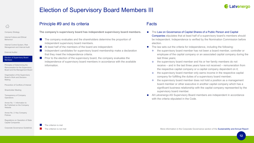## Election of Supervisory Board Members III

**The company's supervisory board has independent supervisory board members.**

■ The company evaluates and the shareholders determine the proportion of

■ Prior to the election of the supervisory board, the company evaluates the

■ Independent candidates for supervisory board membership make a declaration

independence of supervisory board members in accordance with the available

### 葡

Company Strategy

Internal Culture and Ethical Behaviour

Internal Control System, Risk Management and Internal Audit

[External Auditor](#page-8-1)

#### Election of Supervisory Board Members

Principles of Determining the Remuneration for the Supervisory Board and the Management Board

Organisation of the Supervisory Board's Work and Decision-Making

Prevention of Conflicts of Interest

Shareholder Meeting

Transparency of Company **Operations** 

Annex No. 1: Information to Be Published on the Company **Website** 

Annex No. 2: Key Company Policies

Regulations on Operation of State Capital Companies

Corporate Governance Guidelines

The criterion is met

information.

Principle #9 and its criteria

independent supervisory board members.

that they meet the independence criteria.

■ At least half of the members of the board are independent.

#### Facts

- The Law on Governance of Capital Shares of a Public Person and Capital [Companies](https://likumi.lv/doc.php?id=269907) stipulates that at least half of a supervisory board's members should be independent. Independence is verified by the Nomination Commission before election.
- The law sets out the criteria for independence, including the following:<br>
 the supervisory board member has not been a board member. co
	- the supervisory board member has not been a board member, controller or employee of the capital company or an associated capital company during the last three years;
	- o the supervisory board member and his or her family members do not receive – and in the last three years have not received – remuneration from the respective capital company or a capital company dependent on it;
	- the supervisory board member only earns income in the respective capital company for fulfilling the duties of a supervisory board member;
	- the supervisory board member does not hold a position as a management board member or other executive in another capital company which has a significant business relationship with the capital company represented by the supervisory board member.
- All Latvenergo AS Supervisory Board members are independent in accordance with the criteria stipulated in the Code.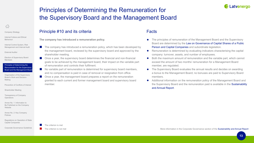### Latvenergo

# Principles of Determining the Remuneration for the Supervisory Board and the Management Board

### <span id="page-12-0"></span>岙

Company Strategy

Internal Culture and Ethical Behaviour

Internal Control System, Risk Management and Internal Audit

[External Auditor](#page-8-1)

Election of Supervisory Board Members

Principles of Determining the Remuneration for the Supervisory Board and the Management Board

Organisation of the Supervisory Board's Work and Decision-Making

Prevention of Conflicts of Interest

Shareholder Meeting

Transparency of Company **Operations** 

Annex No. 1: Information to Be Published on the Company **Website** 

Annex No. 2: Key Company Policies

Regulations on Operation of State Capital Companies

Corporate Governance Guidelines

The criterion is met

member.

Principle #10 and its criteria

shareholder meeting.

**The company has introduced a remuneration policy.**

of remuneration and controls their fulfilment.

■ The company has introduced a remuneration policy, which has been developed by the management board, reviewed by the supervisory board and approved by the

goals to be achieved by the management board, their impact on the variable part

■ Once a year, the supervisory board determines the financial and non-financial

■ No variable part of remuneration is determined for supervisory board members, and no compensation is paid in case of removal or resignation from office. ■ Once a year, the management board prepares a report on the remuneration granted to each current and former management board and supervisory board

#### Facts

- The principles of remuneration of the Management Board and the Supervisory Board are determined by the [Law on Governance of Capital Shares of a Public](https://likumi.lv/doc.php?id=269907)  [Person and Capital Companies](https://likumi.lv/doc.php?id=269907) and subordinate legislation.
- Remuneration is determined by evaluating indicators characterising the capital company: turnover, assets, and number of employees.
- Both the maximum amount of remuneration and the variable part, which cannot exceed the amount of two months' remuneration for a Management Board member, are regulated.
- The Supervisory Board evaluates the annual results and decides on awarding a bonus to the Management Board; no bonuses are paid to Supervisory Board members.
- Additional information on the remuneration policy of the Management Board and the Supervisory Board and the remuneration paid is available in the [Sustainability](https://www.latvenergo.lv/report2021)  [and Annual Report.](https://www.latvenergo.lv/report2021)

The criterion is not met More information in the Corporate Governance section of the [Sustainability and Annual Report](https://www.latvenergo.lv/report2021)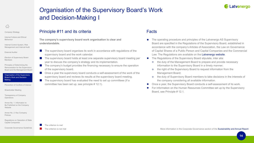

**14**

## Organisation of the Supervisory Board's Work and Decision-Making I

### <span id="page-13-0"></span>岙

Company Strategy

Internal Culture and Ethical Behaviour

Internal Control System, Risk Management and Internal Audit

[External Auditor](#page-8-1)

Election of Supervisory Board Members

Principles of Determining the Remuneration for the Supervisory Board and the Management Board

Organisation of the Supervisory Board's Work and Decision-Making

Prevention of Conflicts of Interest

Shareholder Meeting

Transparency of Company **Operations** 

Annex No. 1: Information to Be Published on the Company **Website** 

Annex No. 2: Key Company Policies

Regulations on Operation of State Capital Companies

Corporate Governance Guidelines

The criterion is met

Principle #11 and its criteria

supervisory board and the work calendar.

committee has been set up, see principle # 12.1).

of the supervisory board.

**understandable.**

**The company's supervisory board work organisation is clear and** 

year to discuss the company's strategy and its implementation.

■ The supervisory board organises its work in accordance with regulations of the

■ The supervisory board holds at least one separate supervisory board meeting per

 $\blacksquare$  The company's budget provides the financing necessary to ensure the operation

■ Once a year the supervisory board conducts a self-assessment of the work of the supervisory board and reviews its results at the supervisory board meeting.

 $\blacksquare$  The supervisory board has evaluated the need to set up committees (if a

- The operating procedure and principles of the Latvenergo AS Supervisory Board are specified in the Regulations of the Supervisory Board, established in accordance with the company's Articles of Association, the Law on Governance of Capital Shares of a Public Person and Capital Companies and the Commercial Law. The Regulations are available on the [Latvenergo website.](https://latvenergo.lv/en/investoriem/korporativa-parvaldiba#padome)
- The Regulations of the Supervisory Board stipulate, inter alia:
	- the duty of the Management Board to prepare and provide necessary information to the Supervisory Board in a timely manner;
	- the right of the Supervisory Board to request information from the Management Board;
	- the duty of Supervisory Board members to take decisions in the interests of the company considering all available information.
- Once a year, the Supervisory Board conducts a self-assessment of its work.
- For information on the Human Resources Committee set up by the Supervisory Board, see Principle # 12.1.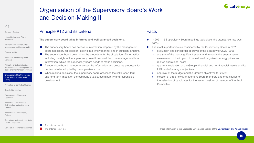

# Organisation of the Supervisory Board's Work and Decision-Making II

岙

#### Company Strategy

Internal Culture and Ethical Behaviour

Internal Control System, Risk Management and Internal Audit

[External Auditor](#page-8-1)

Election of Supervisory Board Members

Principles of Determining the Remuneration for the Supervisory Board and the Management Board

Organisation of the Supervisory Board's Work and Decision-Making

Prevention of Conflicts of Interest

Shareholder Meeting

Transparency of Company **Operations** 

Annex No. 1: Information to Be Published on the Company **Website** 

Annex No. 2: Key Company Policies

Regulations on Operation of State Capital Companies

Corporate Governance Guidelines

The criterion is met

development.

Principle #12 and its criteria

**The supervisory board takes informed and well-balanced decisions.**

information, which the supervisory board needs to make decisions.

decisions to be adopted by the supervisory board.

■ The supervisory board has access to information prepared by the management board necessary for decision-making in a timely manner and in sufficient amount. ■ The supervisory board determines the procedure for the circulation of information, including the right of the supervisory board to request from the management board

■ A supervisory board member analyses the information and prepares proposals for

■ When making decisions, the supervisory board assesses the risks, short-term and long-term impact on the company's value, sustainability and responsible

#### Facts

- In 2021, 16 Supervisory Board meetings took place; the attendance rate was 100%.
- The most important issues considered by the Supervisory Board in 2021:<br>
o evaluation and conceptual approval of the Strategy for 2022–2026:
	- evaluation and conceptual approval of the Strategy for 2022–2026;
	- analysis of the most significant events and trends in the energy sector, assessment of the impact of the extraordinary rise in energy prices and related operational risks;
	- quarterly evaluation of the Group's financial and non-financial results and its fulfilment of strategic objectives;
	- approval of the budget and the Group's objectives for 2022;
	- election of three new Management Board members and organisation of the selection of candidates for the vacant position of member of the Audit Committee.

The criterion is not met More information in the Corporate Governance section of the [Sustainability and Annual Report](https://www.latvenergo.lv/report2021)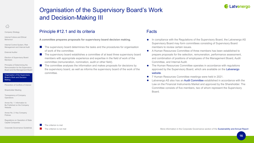

# Organisation of the Supervisory Board's Work and Decision-Making III

岙

#### Company Strategy

Internal Culture and Ethical Behaviour

Internal Control System, Risk Management and Internal Audit

[External Auditor](#page-8-1)

Election of Supervisory Board Members

Principles of Determining the Remuneration for the Supervisory Board and the Management Board

Organisation of the Supervisory Board's Work and Decision-**Making** 

Prevention of Conflicts of Interest

Shareholder Meeting

Transparency of Company **Operations** 

Annex No. 1: Information to Be Published on the Company **Website** 

Annex No. 2: Key Company Policies

Regulations on Operation of State Capital Companies

Corporate Governance Guidelines

The criterion is met

Principle #12.1 and its criteria

of work of the committee.

committee.

**A committee prepares proposals for supervisory board decision making.**

committee (remuneration, nomination, audit or other field).

■ The supervisory board determines the tasks and the procedures for organisation

■ The supervisory board establishes a committee of at least three supervisory board members with appropriate experience and expertise in the field of work of the

The committee analyses the information and makes proposals for decisions by the supervisory board, as well as informs the supervisory board of the work of the

#### Facts

- In compliance with the Regulations of the Supervisory Board, the Latvenergo AS Supervisory Board may form committees consisting of Supervisory Board members to review certain issues.
- A Human Resources Committee of three members has been established to prepare proposals for the selection, remuneration, performance assessment, and combination of positions of employees of the Management Board, Audit Committee, and Internal Audit.
- The Human Resources Committee operates in accordance with regulations approved by the Supervisory Board, which are available on the [Latvenergo](https://latvenergo.lv/en/investoriem/korporativa-parvaldiba#padome)  [website.](https://latvenergo.lv/en/investoriem/korporativa-parvaldiba#padome)
- 7 Human Resources Committee meetings were held in 2021.
- Latvenergo AS also has an [Audit Committee](https://latvenergo.lv/en/investoriem/korporativa-parvaldiba#komiteja) established in accordance with the Law on the Financial Instruments Market and approved by the Shareholder. The Committee consists of five members, two of whom represent the Supervisory Board.

The criterion is not met More information in the Corporate Governance section of the [Sustainability and Annual Report](https://www.latvenergo.lv/report2021)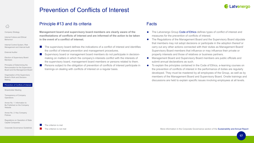<span id="page-16-0"></span>Company Strategy

Internal Culture and Ethical Behaviour

Internal Control System, Risk Management and Internal Audit

[External Auditor](#page-8-1)

Election of Supervisory Board Members

Principles of Determining the Remuneration for the Supervisory Board and the Management Board

Organisation of the Supervisory Board's Work and Decision-Making

#### Prevention of Conflicts of Interest

Shareholder Meeting

Transparency of Company **Operations** 

Annex No. 1: Information to Be Published on the Company **Website** 

Annex No. 2: Key Company Policies

Regulations on Operation of State Capital Companies

Corporate Governance Guidelines

The criterion is met



Prevention of Conflicts of Interest

**Management board and supervisory board members are clearly aware of the manifestations of conflicts of interest and are informed of the action to be taken** 

■ The supervisory board defines the indications of a conflict of interest and identifies

■ Supervisory board or management board members do not participate in decisionmaking on matters in which the company's interests conflict with the interests of the supervisory board, management board members or persons related to them. ■ Persons subject to the obligation of prevention of conflicts of interest participate in

the conflict of interest prevention and management procedures.

trainings on dealing with conflicts of interest on a regular basis.

Principle #13 and its criteria

**in the event of a conflict of interest.**

Facts

- The Latvenergo Group [Code of Ethics](https://latvenergo.lv/en/par-mums/koncerna-etikas-pamatprincipi) defines types of conflict of interest and measures for the prevention of conflicts of interest.
- The Regulations of the Management Board and the Supervisory Board stipulate that members may not adopt decisions or participate in the adoption thereof or carry out any other actions connected with their duties as Management Board/ Supervisory Board members that influence or may influence their private or property interests and those of relatives or business partners.
- Management Board and Supervisory Board members are public officials and submit annual declarations as such.
- To explain the principles contained in the Code of Ethics, e-learning courses on the prevention of conflicts of interest in the performance of duties are regularly developed. They must be mastered by all employees of the Group, as well as by members of the Management Board and Supervisory Board. Onsite trainings and discussions are held to explain specific issues involving employees at all levels.

The criterion is not met More information in the Corporate Governance section of the [Sustainability and Annual Report](https://www.latvenergo.lv/report2021)

**17**

**E Latvenergo**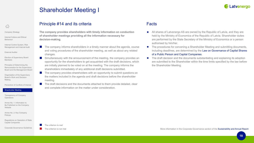### **E Latvenergo**

## Shareholder Meeting I

### <span id="page-17-0"></span>葡

Company Strategy

Internal Culture and Ethical Behaviour

Internal Control System, Risk Management and Internal Audit

[External Auditor](#page-8-1)

Election of Supervisory Board Members

Principles of Determining the Remuneration for the Supervisory Board and the Management Board

Organisation of the Supervisory Board's Work and Decision-Making

Prevention of Conflicts of Interest

#### Shareholder Meeting

Transparency of Company **Operations** 

Annex No. 1: Information to Be Published on the Company **Website** 

Annex No. 2: Key Company Policies

Regulations on Operation of State Capital Companies

Corporate Governance Guidelines

The criterion is met



#### Principle #14 and its criteria

**The company provides shareholders with timely information on conduction of shareholder meetings providing all the information necessary for decision-making.**

- $\blacksquare$  The company informs shareholders in a timely manner about the agenda, course and voting procedures of the shareholder meeting, as well as about any related changes.
- Simultaneously with the announcement of the meeting, the company provides an opportunity for the shareholders to get acquainted with the draft decisions, which are initially planned to be voted on at the meeting. The company informs the shareholders immediately of any additional draft decisions submitted.
- The company provides shareholders with an opportunity to submit questions on the matters included in the agenda and draft decisions before the shareholder meeting.

The draft decisions and the documents attached to them provide detailed, clear and complete information on the matter under consideration.

#### Facts

- All shares of Latvenergo AS are owned by the Republic of Latvia, and they are held by the Ministry of Economics of the Republic of Latvia. Shareholder duties are performed by the State Secretary of the Ministry of Economics or a person authorised by him/her.
- $\bullet$  The procedures for convening a Shareholder Meeting and submitting documents, including deadlines, are determined by the [Law on Governance of Capital Shares](https://likumi.lv/doc.php?id=269907)  [of a Public Person and Capital Companies.](https://likumi.lv/doc.php?id=269907)
- The draft decision and the documents substantiating and explaining its adoption are submitted to the Shareholder within the time limits specified by the law before the Shareholder Meeting.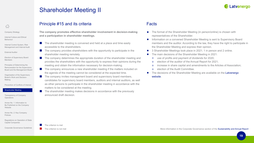## **E Latvenergo**

## Shareholder Meeting II

## 葡

Company Strategy

Internal Culture and Ethical Behaviour

Internal Control System, Risk Management and Internal Audit

[External Auditor](#page-8-1)

Election of Supervisory Board Members

Principles of Determining the Remuneration for the Supervisory Board and the Management Board

Organisation of the Supervisory Board's Work and Decision-Making

Prevention of Conflicts of Interest

#### Shareholder Meeting

Transparency of Company **Operations** 

Annex No. 1: Information to Be Published on the Company **Website** 

Annex No. 2: Key Company Policies

Regulations on Operation of State Capital Companies

Corporate Governance Guidelines

The criterion is met

### Principle #15 and its criteria

**The company promotes effective shareholder involvement in decision-making and a participation in shareholder meetings.**

- $\blacksquare$  The shareholder meeting is convened and held at a place and time easily accessible to the shareholders.
- $\blacksquare$  The company provides shareholders with the opportunity to participate in the shareholder meeting remotely.
- The company determines the appropriate duration of the shareholder meeting and provides the shareholders with the opportunity to express their opinions during the meeting and obtain the information necessary for decision-making.
- The company announces a new shareholder meeting if the matters included on the agenda of the meeting cannot be considered at the expected time.
- $\blacksquare$  The company invites management board and supervisory board members, candidates for supervisory board members, auditors and internal auditors, as well as other persons to participate in the shareholder meeting in accordance with the matters to be considered at the meeting.

The shareholder meeting makes decisions in accordance with the previously announced draft decision.

#### Facts

- The format of the Shareholder Meeting (in person/online) is chosen with representatives of the Shareholder.
- Information on a convened Shareholder Meeting is sent to Supervisory Board members and the auditor. According to the law, they have the right to participate in the Shareholder Meeting and express their opinion.
- 3 Shareholder Meetings took place in 2021; 1 in person and 2 online.
- The main decisions of the Shareholder Meeting in 2021:<br>o use of profits and payment of dividends for 2020:
	- use of profits and payment of dividends for 2020;
	- election of the auditor of the Annual Report for 2021;
	- increase in share capital and amendments to the Articles of Association;
	- election of the Audit Committee.
- The decisions of the Shareholder Meeting are available on the Latvenergo [website.](https://latvenergo.lv/en/investoriem/korporativa-parvaldiba#dokumenti)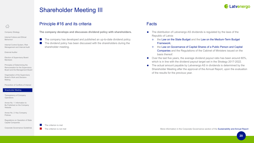## Shareholder Meeting III

### 葡

Company Strategy

Internal Culture and Ethical Behaviour

Internal Control System, Risk Management and Internal Audit

[External Auditor](#page-8-1)

Election of Supervisory Board Members

Principles of Determining the Remuneration for the Supervisory Board and the Management Board

Organisation of the Supervisory Board's Work and Decision-Making

Prevention of Conflicts of Interest

#### Shareholder Meeting

Transparency of Company **Operations** 

Annex No. 1: Information to Be Published on the Company Website

Annex No. 2: Key Company Policies

Regulations on Operation of State Capital Companies

Corporate Governance Guidelines

The criterion is met



#### Principle #16 and its criteria

**The company develops and discusses dividend policy with shareholders.**

- The company has developed and published an up-to-date dividend policy.
- The dividend policy has been discussed with the shareholders during the shareholder meeting.

- The distribution of Latvenergo AS dividends is regulated by the laws of the Republic of Latvia:
	- the [Law on the State Budget](https://likumi.lv/ta/id/328114-par-valsts-budzetu-2022-gadam) and the [Law on the Medium-Term Budget](https://likumi.lv/ta/id/328118-par-videja-termina-budzeta-ietvaru-2022-2023-un-2024-gadam)  [Framework](https://likumi.lv/ta/id/328118-par-videja-termina-budzeta-ietvaru-2022-2023-un-2024-gadam);
	- the [Law on Governance of Capital Shares of a Public Person and Capital](https://likumi.lv/doc.php?id=269907)  [Companies](https://likumi.lv/doc.php?id=269907) and the Regulations of the Cabinet of Ministers issued on the basis thereof.
- $\bullet$  Over the last five years, the average dividend payout ratio has been around 80%, which is in line with the dividend payout target set in the Strategy 2017-2022.
- The actual amount payable by Latvenergo AS in dividends is determined by the Shareholder Meeting after the approval of the Annual Report, upon the evaluation of the results for the previous year.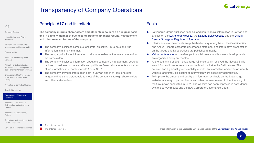### <span id="page-20-0"></span>葡

Company Strategy

Internal Culture and Ethical Behaviour

Internal Control System, Risk Management and Internal Audit

[External Auditor](#page-8-1)

Election of Supervisory Board Members

Principles of Determining the Remuneration for the Supervisory Board and the Management Board

Organisation of the Supervisory Board's Work and Decision-Making

Prevention of Conflicts of Interest

Shareholder Meeting

#### Transparency of Company **Operations**

Annex No. 1: Information to Be Published on the Company **Website** 

Annex No. 2: Key Company Policies

Regulations on Operation of State Capital Companies

Corporate Governance Guidelines

The criterion is met



#### Principle #17 and its criteria

**The company informs shareholders and other stakeholders on a regular basis and in a timely manner of business operations, financial results, management and other relevant issues of the company.**

Transparency of Company Operations

- The company discloses complete, accurate, objective, up-to-date and true information in a timely manner.
	- The company discloses information to all shareholders at the same time and to the same extent.
- $\blacksquare$  The company discloses information about the company's management, strategy or lines of business on the website and publishes financial statements as well as other information in accordance with Annex No. 1.
- The company provides information both in Latvian and in at least one other language that is understandable to most of the company's foreign shareholders and other stakeholders.

#### Facts

- Latvenergo Group publishes financial and non-financial information in Latvian and English on the [Latvenergo website,](https://latvenergo.lv/en/investoriem/parskati) the [Nasdaq Baltic website](https://nasdaqbaltic.com/statistics/lv/instrument/LV0000801777/reports) and the [Official](https://csri.investinfo.lv/en/) [Central Storage of Regulated Information](https://csri.investinfo.lv/en/).
- Interim financial statements are published on a quarterly basis; the Sustainability and Annual Report, corporate governance statement and informative presentation on the Group and its operations are published annually.
- [Virtual conferences](https://latvenergo.lv/en/investoriem/parskati) on the Group's financial results and business developments are organised every six months.
- At the beginning of 2021, Latvenergo AS once again received the Nasdaq Baltic award for best investor relations on the bond market in the Baltic states. The detailed and high-quality sustainability reports, an informative and investor-friendly website, and timely disclosure of information were especially appreciated.
- To improve the amount and quality of information available on the Latvenergo website, a survey of partner banks and other partners related to the financing of the Group was conducted in 2021. The website has been improved in accordance with the survey results and the new Corporate Governance Code.

The criterion is not met More information in the Corporate Governance section of the [Sustainability and Annual Report](https://www.latvenergo.lv/report2021)

**21**

**E Latvenergo**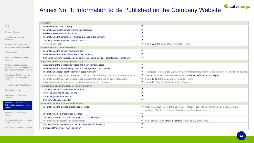## Annex No. 1: Information to Be Published on the Company Website

<span id="page-21-0"></span>삶

Company Strategy

Internal Culture and Ethical Behaviour

Internal Control System, Risk Management and Internal Audit **Contract** 

[External Auditor](#page-8-1)

Election of Supervisory Board Members

Principles of Determining the Remuneration for the Supervisory Board and the Management Board

Organisation of the Supervisory Board's Work and Decision-Making

Prevention of Conflicts of Interest

Shareholder Meeting

Transparency of Company Operations

Annex No. 1: Information to Be Published on the Company Website

Annex No. 2: Key Company Policies

Regulations on Operation of State Capital Companies

Corporate Governance Guidelines

| Company                                                                                       |                                                                                                                 |
|-----------------------------------------------------------------------------------------------|-----------------------------------------------------------------------------------------------------------------|
| Information about the company                                                                 |                                                                                                                 |
| Information about the company's strategic objectives                                          |                                                                                                                 |
| Articles of association of the company                                                        |                                                                                                                 |
| Information on the corporate governance structure of the company                              |                                                                                                                 |
| Company Code of Internal Culture and Ethics                                                   |                                                                                                                 |
| Key company policies                                                                          | See p. 23 of the Corporate Governance Report.<br>√                                                              |
| Shareholders and beneficial owners                                                            |                                                                                                                 |
| Information on the company's shareholders                                                     |                                                                                                                 |
| Information on the beneficial owners of the company                                           |                                                                                                                 |
| Number of company's issued, paid-up and voting shares, bonds or other financial instruments   |                                                                                                                 |
| Supervisory board and management board                                                        |                                                                                                                 |
| Regulations of the management board and the supervisory board                                 | √                                                                                                               |
| Information on each supervisory board and management board member                             |                                                                                                                 |
| Information on independent supervisory board members                                          | The last assessment of the Supervisory Board member independence was carried out in the beginning of 2022.<br>v |
| Remuneration policy of the management board and the supervisory board and remuneration report | See the Corporate Governance section of the Sustainability and Annual Report.<br>√                              |
| Information on the selection process of the management board and the supervisory board        | See p. 10-12 of the Corporate Governance Report.<br>√                                                           |
| Information on supervisory board committees and the audit committee                           | See p. 16 of the Corporate Governance Report.                                                                   |
| Financial and non-financial reports and information                                           |                                                                                                                 |
| Company's financial statements and reports                                                    | √                                                                                                               |
| The company's non-financial reports                                                           |                                                                                                                 |
| Corporate governance reports                                                                  |                                                                                                                 |
| Company's financial calendar                                                                  |                                                                                                                 |
| Information for shareholders and investors                                                    |                                                                                                                 |
| Information on the planned shareholder meetings                                               | Upon the announcement of the Shareholder Meeting, issues to be considered during the meeting are<br>v           |
|                                                                                               | published. The decisions are published after the Shareholder Meeting.                                           |
| Information on held shareholder meetings                                                      | √                                                                                                               |
| Company's dividend policy and information on dividends paid                                   | √                                                                                                               |
| Information on transactions of related parties                                                | See Note 29 of the financial statements "Related party transactions".<br>√                                      |
| Company's announcements and relevant information for investors                                |                                                                                                                 |
| Contacts of the investor relations person                                                     |                                                                                                                 |
|                                                                                               |                                                                                                                 |

E Latvenergo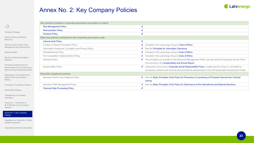## Annex No. 2: Key Company Policies

### <span id="page-22-0"></span>삶

Company Strategy

Internal Culture and Ethical Behaviour

Internal Control System, Risk Management and Internal Audit

[External Auditor](#page-8-1)

Election of Supervisory Board Members

Principles of Determining the Remuneration for the Supervisory Board and the Management Board

Organisation of the Supervisory Board's Work and Decision-Making

Prevention of Conflicts of Interest

Shareholder Meeting

Transparency of Company Operations

Annex No. 1: Information to Be Published on the Company Website

Annex No. 2: Key Company Policies

Regulations on Operation of State Capital Companies

Corporate Governance Guidelines

| Key policies included in corporate governance principles or criteria |                                                                                                                     |
|----------------------------------------------------------------------|---------------------------------------------------------------------------------------------------------------------|
| <b>Risk Management Policy</b>                                        |                                                                                                                     |
| <b>Remuneration Policy</b>                                           |                                                                                                                     |
| <b>Dividend Policy</b>                                               |                                                                                                                     |
| Other key policies mentioned in the corporate governance code        |                                                                                                                     |
| <b>Internal Audit Policy</b>                                         |                                                                                                                     |
| Conflict of Interest Prevention Policy                               | Included in the Latvenergo Group's Code of Ethics.                                                                  |
| Information Disclosure, Circulation and Privacy Policy               | See the Principles for Information Disclosure.                                                                      |
| <b>Whistleblowing Policy</b>                                         | Included in the Latvenergo Group's Code of Ethics.                                                                  |
| Fair Competition Implementation Policy                               | Included in the Latvenergo Group's Code of Ethics.<br>V.                                                            |
| Diversity Policy                                                     | The principles are included in the Personnel Management Policy; see the section Employees and the Work              |
|                                                                      | Environment in the Sustainability and Annual Report.                                                                |
| <b>Sustainability Policy</b>                                         | Latvenergo Group has a Corporate Social Responsibility Policy. It states that the Group is committed to<br>v.       |
|                                                                      | processes, products and services that promote the achievement of the UN Sustainable Development Goals.              |
| <b>Essential compliance policies</b>                                 |                                                                                                                     |
| <b>Business Partner Due Diligence Policy</b>                         | See the Basic Principles of the Policy for Prevention of Laundering of Proceeds Derived from Criminal<br>$\sqrt{ }$ |
|                                                                      | Activity.                                                                                                           |
| Sanctions Risk Management Policy                                     | See the Basic Principles of the Policy for Observance of the International and National Sanctions.                  |
| <b>Personal Data Processing Policy</b>                               |                                                                                                                     |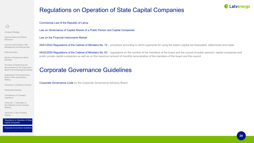## Regulations on Operation of State Capital Companies

#### [Commercial Law of the Republic of Latvia](https://likumi.lv/ta/en/en/id/5490-commercial-law)

Company Strategy

<span id="page-23-0"></span>岙

Internal Culture and Ethical Behaviour

Internal Control System, Risk Management and Internal Audit

[External Auditor](#page-8-1)

Election of Supervisory Board Members

Principles of Determining the Remuneration for the Supervisory Board and the Management Board

Organisation of the Supervisory Board's Work and Decision-Making

Prevention of Conflicts of Interest

Shareholder Meeting

Transparency of Company **Operations** 

Annex No. 1: Information to Be Published on the Company Website

Annex No. 2: Key Company Policies

Regulations on Operation of State Capital Companies

Corporate Governance Guidelines

[Law on the Financial Instruments Market](https://likumi.lv/ta/id/81995-finansu-instrumentu-tirgus-likums)

[Law on Governance of Capital Shares of a Public Person and Capital Companies](https://likumi.lv/doc.php?id=269907)

[25/01/2022 Regulations of the Cabinet of Ministers No. 72](https://likumi.lv/ta/id/329536-kartiba-kada-tiek-prognozeti-noteikti-un-veikti-maksajumi-par-valsts-kapitala-izmantosanu) – procedure according to which payments for using the state's capital are forecasted, determined and made

[04/02/2020 Regulations of the Cabinet of Ministers No. 63](https://likumi.lv/ta/id/312389-noteikumi-par-publiskas-personas-kapitalsabiedribu-un-publiski-privato-kapitalsabiedribu-valdes-un-padomes-loceklu-skaitu-ka-ari-valdes-un-padomes-loceklu-menesa-atlidzibas-maksimalo-apmeru) – regulations on the number of the members of the board and the council of public persons' capital companies and public private capital companies as well as on the maximum amount of monthly remuneration of the members of the board and the council

## Corporate Governance Guidelines

[Corporate Governance Code](https://www.tm.gov.lv/en/media/7428/download) by the Corporate Governance Advisory Board